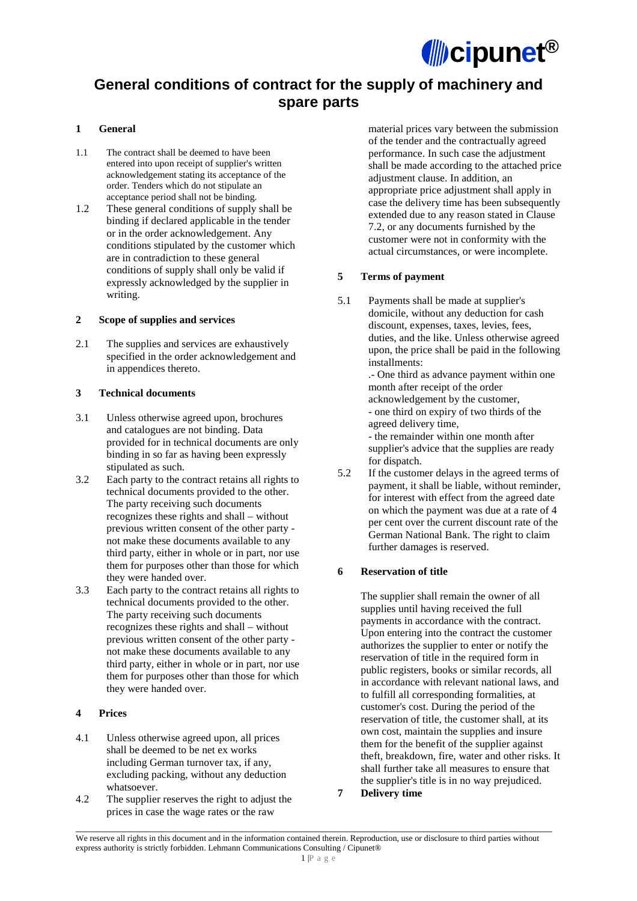

# **General conditions of contract for the supply of machinery and spare parts**

## **1 General**

- 1.1 The contract shall be deemed to have been entered into upon receipt of supplier's written acknowledgement stating its acceptance of the order. Tenders which do not stipulate an acceptance period shall not be binding.
- 1.2 These general conditions of supply shall be binding if declared applicable in the tender or in the order acknowledgement. Any conditions stipulated by the customer which are in contradiction to these general conditions of supply shall only be valid if expressly acknowledged by the supplier in writing.

#### **2 Scope of supplies and services**

2.1 The supplies and services are exhaustively specified in the order acknowledgement and in appendices thereto.

#### **3 Technical documents**

- 3.1 Unless otherwise agreed upon, brochures and catalogues are not binding. Data provided for in technical documents are only binding in so far as having been expressly stipulated as such.
- 3.2 Each party to the contract retains all rights to technical documents provided to the other. The party receiving such documents recognizes these rights and shall – without previous written consent of the other party not make these documents available to any third party, either in whole or in part, nor use them for purposes other than those for which they were handed over.
- 3.3 Each party to the contract retains all rights to technical documents provided to the other. The party receiving such documents recognizes these rights and shall – without previous written consent of the other party not make these documents available to any third party, either in whole or in part, nor use them for purposes other than those for which they were handed over.

## **4 Prices**

- 4.1 Unless otherwise agreed upon, all prices shall be deemed to be net ex works including German turnover tax, if any, excluding packing, without any deduction whatsoever.
- 4.2 The supplier reserves the right to adjust the prices in case the wage rates or the raw

material prices vary between the submission of the tender and the contractually agreed performance. In such case the adjustment shall be made according to the attached price adjustment clause. In addition, an appropriate price adjustment shall apply in case the delivery time has been subsequently extended due to any reason stated in Clause 7.2, or any documents furnished by the customer were not in conformity with the actual circumstances, or were incomplete.

#### **5 Terms of payment**

- 5.1 Payments shall be made at supplier's domicile, without any deduction for cash discount, expenses, taxes, levies, fees, duties, and the like. Unless otherwise agreed upon, the price shall be paid in the following installments: .- One third as advance payment within one month after receipt of the order acknowledgement by the customer, - one third on expiry of two thirds of the agreed delivery time, - the remainder within one month after supplier's advice that the supplies are ready for dispatch.
- 5.2 If the customer delays in the agreed terms of payment, it shall be liable, without reminder, for interest with effect from the agreed date on which the payment was due at a rate of 4 per cent over the current discount rate of the German National Bank. The right to claim further damages is reserved.

#### **6 Reservation of title**

The supplier shall remain the owner of all supplies until having received the full payments in accordance with the contract. Upon entering into the contract the customer authorizes the supplier to enter or notify the reservation of title in the required form in public registers, books or similar records, all in accordance with relevant national laws, and to fulfill all corresponding formalities, at customer's cost. During the period of the reservation of title, the customer shall, at its own cost, maintain the supplies and insure them for the benefit of the supplier against theft, breakdown, fire, water and other risks. It shall further take all measures to ensure that the supplier's title is in no way prejudiced.

**7 Delivery time** 

\_\_\_\_\_\_\_\_\_\_\_\_\_\_\_\_\_\_\_\_\_\_\_\_\_\_\_\_\_\_\_\_\_\_\_\_\_\_\_\_\_\_\_\_\_\_\_\_\_\_\_\_\_\_\_\_\_\_\_\_\_\_\_\_\_\_\_\_\_\_\_\_\_\_\_\_\_\_\_\_\_\_\_\_\_\_\_\_\_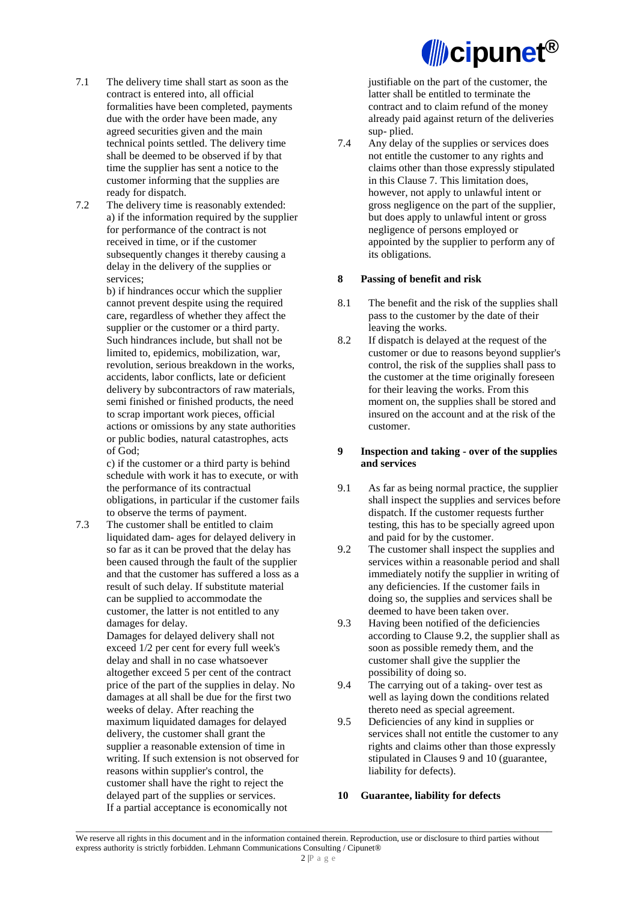

- 7.1 The delivery time shall start as soon as the contract is entered into, all official formalities have been completed, payments due with the order have been made, any agreed securities given and the main technical points settled. The delivery time shall be deemed to be observed if by that time the supplier has sent a notice to the customer informing that the supplies are ready for dispatch.
- 7.2 The delivery time is reasonably extended: a) if the information required by the supplier for performance of the contract is not received in time, or if the customer subsequently changes it thereby causing a delay in the delivery of the supplies or services;

b) if hindrances occur which the supplier cannot prevent despite using the required care, regardless of whether they affect the supplier or the customer or a third party. Such hindrances include, but shall not be limited to, epidemics, mobilization, war, revolution, serious breakdown in the works, accidents, labor conflicts, late or deficient delivery by subcontractors of raw materials, semi finished or finished products, the need to scrap important work pieces, official actions or omissions by any state authorities or public bodies, natural catastrophes, acts of God;

c) if the customer or a third party is behind schedule with work it has to execute, or with the performance of its contractual obligations, in particular if the customer fails to observe the terms of payment.

7.3 The customer shall be entitled to claim liquidated dam- ages for delayed delivery in so far as it can be proved that the delay has been caused through the fault of the supplier and that the customer has suffered a loss as a result of such delay. If substitute material can be supplied to accommodate the customer, the latter is not entitled to any damages for delay.

> Damages for delayed delivery shall not exceed 1/2 per cent for every full week's delay and shall in no case whatsoever altogether exceed 5 per cent of the contract price of the part of the supplies in delay. No damages at all shall be due for the first two weeks of delay. After reaching the maximum liquidated damages for delayed delivery, the customer shall grant the supplier a reasonable extension of time in writing. If such extension is not observed for reasons within supplier's control, the customer shall have the right to reject the delayed part of the supplies or services. If a partial acceptance is economically not

justifiable on the part of the customer, the latter shall be entitled to terminate the contract and to claim refund of the money already paid against return of the deliveries sup- plied.

7.4 Any delay of the supplies or services does not entitle the customer to any rights and claims other than those expressly stipulated in this Clause 7. This limitation does, however, not apply to unlawful intent or gross negligence on the part of the supplier, but does apply to unlawful intent or gross negligence of persons employed or appointed by the supplier to perform any of its obligations.

#### **8 Passing of benefit and risk**

- 8.1 The benefit and the risk of the supplies shall pass to the customer by the date of their leaving the works.
- 8.2 If dispatch is delayed at the request of the customer or due to reasons beyond supplier's control, the risk of the supplies shall pass to the customer at the time originally foreseen for their leaving the works. From this moment on, the supplies shall be stored and insured on the account and at the risk of the customer.

#### **9 Inspection and taking - over of the supplies and services**

- 9.1 As far as being normal practice, the supplier shall inspect the supplies and services before dispatch. If the customer requests further testing, this has to be specially agreed upon and paid for by the customer.
- 9.2 The customer shall inspect the supplies and services within a reasonable period and shall immediately notify the supplier in writing of any deficiencies. If the customer fails in doing so, the supplies and services shall be deemed to have been taken over.
- 9.3 Having been notified of the deficiencies according to Clause 9.2, the supplier shall as soon as possible remedy them, and the customer shall give the supplier the possibility of doing so.
- 9.4 The carrying out of a taking- over test as well as laying down the conditions related thereto need as special agreement.
- 9.5 Deficiencies of any kind in supplies or services shall not entitle the customer to any rights and claims other than those expressly stipulated in Clauses 9 and 10 (guarantee, liability for defects).

#### **10 Guarantee, liability for defects**

We reserve all rights in this document and in the information contained therein. Reproduction, use or disclosure to third parties without express authority is strictly forbidden. Lehmann Communications Consulting / Cipunet®

\_\_\_\_\_\_\_\_\_\_\_\_\_\_\_\_\_\_\_\_\_\_\_\_\_\_\_\_\_\_\_\_\_\_\_\_\_\_\_\_\_\_\_\_\_\_\_\_\_\_\_\_\_\_\_\_\_\_\_\_\_\_\_\_\_\_\_\_\_\_\_\_\_\_\_\_\_\_\_\_\_\_\_\_\_\_\_\_\_